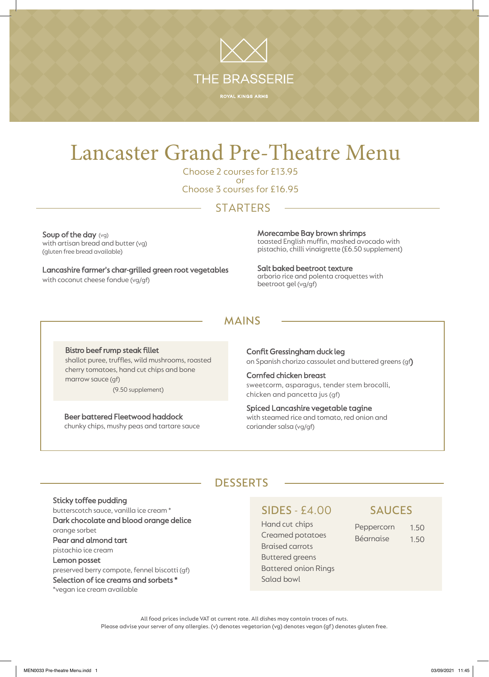

# Lancaster Grand Pre-Theatre Menu

Choose 2 courses for £13.95 or Choose 3 courses for £16.95

# **STARTERS**

Soup of the day (vg) with artisan bread and butter (vg) (gluten free bread available)

Lancashire farmer's char-grilled green root vegetables with coconut cheese fondue (vg/gf)

Morecambe Bay brown shrimps toasted English muffin, mashed avocado with pistachio, chilli vinaigrette (£6.50 supplement)

Salt baked beetroot texture arborio rice and polenta croquettes with beetroot gel (vg/gf)

# MAINS

Bistro beef rump steak fillet shallot puree, truffles, wild mushrooms, roasted cherry tomatoes, hand cut chips and bone marrow sauce (gf) (9.50 supplement)

Beer battered Fleetwood haddock chunky chips, mushy peas and tartare sauce Confit Gressingham duck leg on Spanish chorizo cassoulet and buttered greens (gf)

Cornfed chicken breast sweetcorm, asparagus, tender stem brocolli, chicken and pancetta jus (gf)

Spiced Lancashire vegetable tagine with steamed rice and tomato, red onion and coriander salsa (vg/gf)

# **DESSERTS**

# Sticky toffee pudding butterscotch sauce, vanilla ice cream \*

Dark chocolate and blood orange delice orange sorbet Pear and almond tart pistachio ice cream Lemon posset preserved berry compote, fennel biscotti (gf) Selection of ice creams and sorbets \* \*vegan ice cream available

### SIDES - £4.00 SAUCES

Hand cut chips Creamed potatoes Braised carrots Buttered greens Battered onion Rings Salad bowl

| Peppercorn | 1.50 |
|------------|------|
| Béarnaise  | 1.50 |

All food prices include VAT at current rate. All dishes may contain traces of nuts. Please advise your server of any allergies. (v) denotes vegetarian (vg) denotes vegan (gf) denotes gluten free.

MEN0033 Pre-theatre Menu.indd 1 03/09/2021 11:45